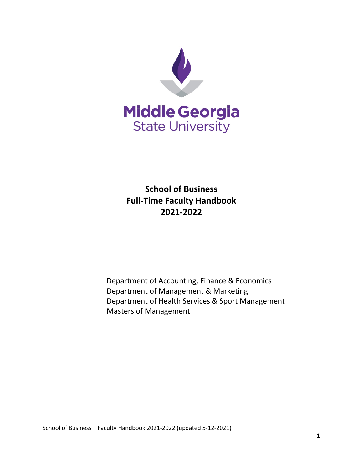

**School of Business Full-Time Faculty Handbook 2021-2022**

Department of Accounting, Finance & Economics Department of Management & Marketing Department of Health Services & Sport Management Masters of Management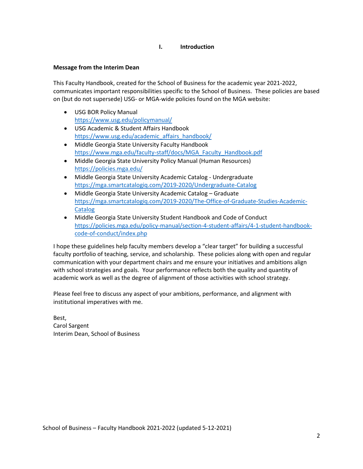## **I. Introduction**

## **Message from the Interim Dean**

This Faculty Handbook, created for the School of Business for the academic year 2021-2022, communicates important responsibilities specific to the School of Business. These policies are based on (but do not supersede) USG- or MGA-wide policies found on the MGA website:

- USG BOR Policy Manual <https://www.usg.edu/policymanual/>
- USG Academic & Student Affairs Handbook [https://www.usg.edu/academic\\_affairs\\_handbook/](https://www.usg.edu/academic_affairs_handbook/)
- Middle Georgia State University Faculty Handbook [https://www.mga.edu/faculty-staff/docs/MGA\\_Faculty\\_Handbook.pdf](https://www.mga.edu/faculty-staff/docs/MGA_Faculty_Handbook.pdf)
- Middle Georgia State University Policy Manual (Human Resources) <https://policies.mga.edu/>
- Middle Georgia State University Academic Catalog Undergraduate <https://mga.smartcatalogiq.com/2019-2020/Undergraduate-Catalog>
- Middle Georgia State University Academic Catalog Graduate [https://mga.smartcatalogiq.com/2019-2020/The-Office-of-Graduate-Studies-Academic-](https://mga.smartcatalogiq.com/2019-2020/The-Office-of-Graduate-Studies-Academic-Catalog)[Catalog](https://mga.smartcatalogiq.com/2019-2020/The-Office-of-Graduate-Studies-Academic-Catalog)
- Middle Georgia State University Student Handbook and Code of Conduct [https://policies.mga.edu/policy-manual/section-4-student-affairs/4-1-student-handbook](https://policies.mga.edu/policy-manual/section-4-student-affairs/4-1-student-handbook-code-of-conduct/index.php)[code-of-conduct/index.php](https://policies.mga.edu/policy-manual/section-4-student-affairs/4-1-student-handbook-code-of-conduct/index.php)

I hope these guidelines help faculty members develop a "clear target" for building a successful faculty portfolio of teaching, service, and scholarship. These policies along with open and regular communication with your department chairs and me ensure your initiatives and ambitions align with school strategies and goals. Your performance reflects both the quality and quantity of academic work as well as the degree of alignment of those activities with school strategy.

Please feel free to discuss any aspect of your ambitions, performance, and alignment with institutional imperatives with me.

Best, Carol Sargent Interim Dean, School of Business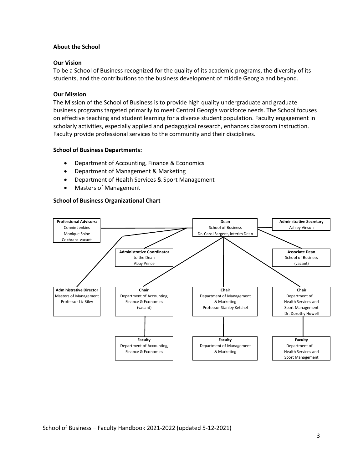#### **About the School**

#### **Our Vision**

To be a School of Business recognized for the quality of its academic programs, the diversity of its students, and the contributions to the business development of middle Georgia and beyond.

#### **Our Mission**

The Mission of the School of Business is to provide high quality undergraduate and graduate business programs targeted primarily to meet Central Georgia workforce needs. The School focuses on effective teaching and student learning for a diverse student population. Faculty engagement in scholarly activities, especially applied and pedagogical research, enhances classroom instruction. Faculty provide professional services to the community and their disciplines.

#### **School of Business Departments:**

- Department of Accounting, Finance & Economics
- Department of Management & Marketing
- Department of Health Services & Sport Management
- Masters of Management

#### **School of Business Organizational Chart**

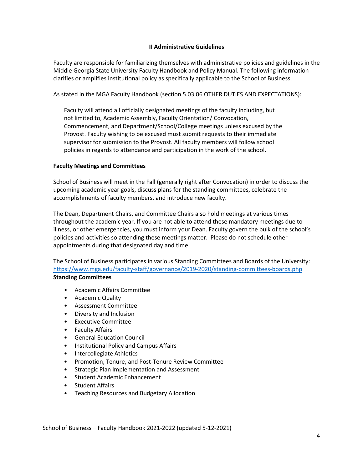## **II Administrative Guidelines**

Faculty are responsible for familiarizing themselves with administrative policies and guidelines in the Middle Georgia State University Faculty Handbook and Policy Manual. The following information clarifies or amplifies institutional policy as specifically applicable to the School of Business.

As stated in the MGA Faculty Handbook (section 5.03.06 OTHER DUTIES AND EXPECTATIONS):

Faculty will attend all officially designated meetings of the faculty including, but not limited to, Academic Assembly, Faculty Orientation/ Convocation, Commencement, and Department/School/College meetings unless excused by the Provost. Faculty wishing to be excused must submit requests to their immediate supervisor for submission to the Provost. All faculty members will follow school policies in regards to attendance and participation in the work of the school.

# **Faculty Meetings and Committees**

School of Business will meet in the Fall (generally right after Convocation) in order to discuss the upcoming academic year goals, discuss plans for the standing committees, celebrate the accomplishments of faculty members, and introduce new faculty.

The Dean, Department Chairs, and Committee Chairs also hold meetings at various times throughout the academic year. If you are not able to attend these mandatory meetings due to illness, or other emergencies, you must inform your Dean. Faculty govern the bulk of the school's policies and activities so attending these meetings matter. Please do not schedule other appointments during that designated day and time.

The School of Business participates in various Standing Committees and Boards of the University: <https://www.mga.edu/faculty-staff/governance/2019-2020/standing-committees-boards.php> **Standing Committees**

- Academic Affairs Committee
- Academic Quality
- Assessment Committee
- Diversity and Inclusion
- Executive Committee
- Faculty Affairs
- General Education Council
- Institutional Policy and Campus Affairs
- Intercollegiate Athletics
- Promotion, Tenure, and Post-Tenure Review Committee
- Strategic Plan Implementation and Assessment
- Student Academic Enhancement
- Student Affairs
- Teaching Resources and Budgetary Allocation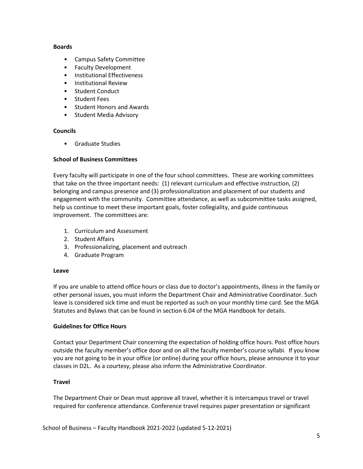#### **Boards**

- Campus Safety Committee
- Faculty Development
- Institutional Effectiveness
- Institutional Review
- Student Conduct
- Student Fees
- Student Honors and Awards
- Student Media Advisory

## **Councils**

• Graduate Studies

# **School of Business Committees**

Every faculty will participate in one of the four school committees. These are working committees that take on the three important needs: (1) relevant curriculum and effective instruction, (2) belonging and campus presence and (3) professionalization and placement of our students and engagement with the community. Committee attendance, as well as subcommittee tasks assigned, help us continue to meet these important goals, foster collegiality, and guide continuous improvement. The committees are:

- 1. Curriculum and Assessment
- 2. Student Affairs
- 3. Professionalizing, placement and outreach
- 4. Graduate Program

## **Leave**

If you are unable to attend office hours or class due to doctor's appointments, illness in the family or other personal issues, you must inform the Department Chair and Administrative Coordinator. Such leave is considered sick time and must be reported as such on your monthly time card. See the MGA Statutes and Bylaws that can be found in section 6.04 of the MGA Handbook for details.

## **Guidelines for Office Hours**

Contact your Department Chair concerning the expectation of holding office hours. Post office hours outside the faculty member's office door and on all the faculty member's course syllabi. If you know you are not going to be in your office (or online) during your office hours, please announce it to your classes in D2L. As a courtesy, please also inform the Administrative Coordinator.

## **Travel**

The Department Chair or Dean must approve all travel, whether it is intercampus travel or travel required for conference attendance. Conference travel requires paper presentation or significant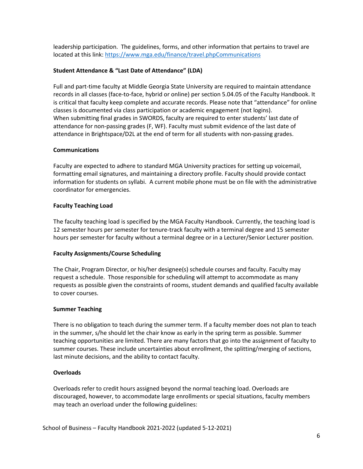leadership participation. The guidelines, forms, and other information that pertains to travel are located at this link:<https://www.mga.edu/finance/travel.phpCommunications>

# **Student Attendance & "Last Date of Attendance" (LDA)**

Full and part-time faculty at Middle Georgia State University are required to maintain attendance records in all classes (face-to-face, hybrid or online) per section 5.04.05 of the Faculty Handbook. It is critical that faculty keep complete and accurate records. Please note that "attendance" for online classes is documented via class participation or academic engagement (not logins). When submitting final grades in SWORDS, faculty are required to enter students' last date of attendance for non-passing grades (F, WF). Faculty must submit evidence of the last date of attendance in Brightspace/D2L at the end of term for all students with non-passing grades.

# **Communications**

Faculty are expected to adhere to standard MGA University practices for setting up voicemail, formatting email signatures, and maintaining a directory profile. Faculty should provide contact information for students on syllabi. A current mobile phone must be on file with the administrative coordinator for emergencies.

# **Faculty Teaching Load**

The faculty teaching load is specified by the MGA Faculty Handbook. Currently, the teaching load is 12 semester hours per semester for tenure-track faculty with a terminal degree and 15 semester hours per semester for faculty without a terminal degree or in a Lecturer/Senior Lecturer position.

## **Faculty Assignments/Course Scheduling**

The Chair, Program Director, or his/her designee(s) schedule courses and faculty. Faculty may request a schedule. Those responsible for scheduling will attempt to accommodate as many requests as possible given the constraints of rooms, student demands and qualified faculty available to cover courses.

## **Summer Teaching**

There is no obligation to teach during the summer term. If a faculty member does not plan to teach in the summer, s/he should let the chair know as early in the spring term as possible. Summer teaching opportunities are limited. There are many factors that go into the assignment of faculty to summer courses. These include uncertainties about enrollment, the splitting/merging of sections, last minute decisions, and the ability to contact faculty.

## **Overloads**

Overloads refer to credit hours assigned beyond the normal teaching load. Overloads are discouraged, however, to accommodate large enrollments or special situations, faculty members may teach an overload under the following guidelines: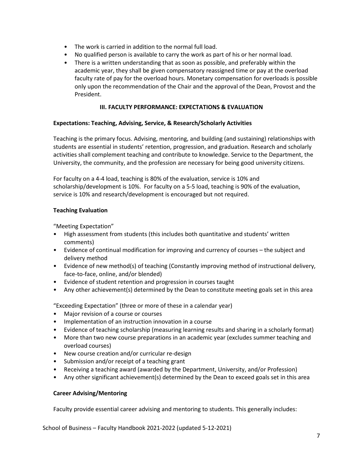- The work is carried in addition to the normal full load.
- No qualified person is available to carry the work as part of his or her normal load.
- There is a written understanding that as soon as possible, and preferably within the academic year, they shall be given compensatory reassigned time or pay at the overload faculty rate of pay for the overload hours. Monetary compensation for overloads is possible only upon the recommendation of the Chair and the approval of the Dean, Provost and the President.

## **III. FACULTY PERFORMANCE: EXPECTATIONS & EVALUATION**

## **Expectations: Teaching, Advising, Service, & Research/Scholarly Activities**

Teaching is the primary focus. Advising, mentoring, and building (and sustaining) relationships with students are essential in students' retention, progression, and graduation. Research and scholarly activities shall complement teaching and contribute to knowledge. Service to the Department, the University, the community, and the profession are necessary for being good university citizens.

For faculty on a 4-4 load, teaching is 80% of the evaluation, service is 10% and scholarship/development is 10%. For faculty on a 5-5 load, teaching is 90% of the evaluation, service is 10% and research/development is encouraged but not required.

## **Teaching Evaluation**

"Meeting Expectation"

- High assessment from students (this includes both quantitative and students' written comments)
- Evidence of continual modification for improving and currency of courses the subject and delivery method
- Evidence of new method(s) of teaching (Constantly improving method of instructional delivery, face-to-face, online, and/or blended)
- Evidence of student retention and progression in courses taught
- Any other achievement(s) determined by the Dean to constitute meeting goals set in this area

"Exceeding Expectation" (three or more of these in a calendar year)

- Major revision of a course or courses
- Implementation of an instruction innovation in a course
- Evidence of teaching scholarship (measuring learning results and sharing in a scholarly format)
- More than two new course preparations in an academic year (excludes summer teaching and overload courses)
- New course creation and/or curricular re-design
- Submission and/or receipt of a teaching grant
- Receiving a teaching award (awarded by the Department, University, and/or Profession)
- Any other significant achievement(s) determined by the Dean to exceed goals set in this area

## **Career Advising/Mentoring**

Faculty provide essential career advising and mentoring to students. This generally includes: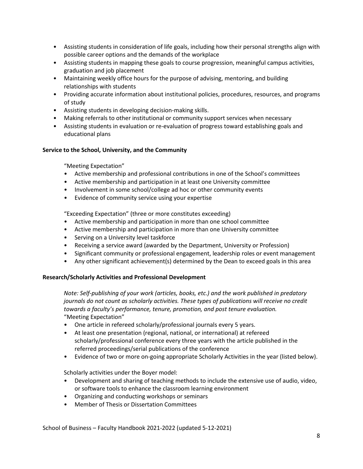- Assisting students in consideration of life goals, including how their personal strengths align with possible career options and the demands of the workplace
- Assisting students in mapping these goals to course progression, meaningful campus activities, graduation and job placement
- Maintaining weekly office hours for the purpose of advising, mentoring, and building relationships with students
- Providing accurate information about institutional policies, procedures, resources, and programs of study
- Assisting students in developing decision-making skills.
- Making referrals to other institutional or community support services when necessary
- Assisting students in evaluation or re-evaluation of progress toward establishing goals and educational plans

# **Service to the School, University, and the Community**

"Meeting Expectation"

- Active membership and professional contributions in one of the School's committees
- Active membership and participation in at least one University committee
- Involvement in some school/college ad hoc or other community events
- Evidence of community service using your expertise

"Exceeding Expectation" (three or more constitutes exceeding)

- Active membership and participation in more than one school committee
- Active membership and participation in more than one University committee
- Serving on a University level taskforce
- Receiving a service award (awarded by the Department, University or Profession)
- Significant community or professional engagement, leadership roles or event management
- Any other significant achievement(s) determined by the Dean to exceed goals in this area

## **Research/Scholarly Activities and Professional Development**

*Note: Self-publishing of your work (articles, books, etc.) and the work published in predatory journals do not count as scholarly activities. These types of publications will receive no credit towards a faculty's performance, tenure, promotion, and post tenure evaluation.*  "Meeting Expectation"

- One article in refereed scholarly/professional journals every 5 years.
- At least one presentation (regional, national, or international) at refereed scholarly/professional conference every three years with the article published in the referred proceedings/serial publications of the conference
- Evidence of two or more on-going appropriate Scholarly Activities in the year (listed below).

Scholarly activities under the Boyer model:

- Development and sharing of teaching methods to include the extensive use of audio, video, or software tools to enhance the classroom learning environment
- Organizing and conducting workshops or seminars
- Member of Thesis or Dissertation Committees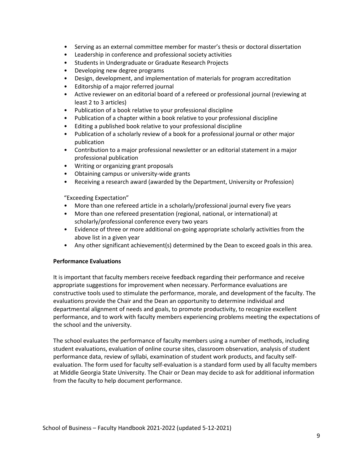- Serving as an external committee member for master's thesis or doctoral dissertation
- Leadership in conference and professional society activities
- Students in Undergraduate or Graduate Research Projects
- Developing new degree programs
- Design, development, and implementation of materials for program accreditation
- Editorship of a major referred journal
- Active reviewer on an editorial board of a refereed or professional journal (reviewing at least 2 to 3 articles)
- Publication of a book relative to your professional discipline
- Publication of a chapter within a book relative to your professional discipline
- Editing a published book relative to your professional discipline
- Publication of a scholarly review of a book for a professional journal or other major publication
- Contribution to a major professional newsletter or an editorial statement in a major professional publication
- Writing or organizing grant proposals
- Obtaining campus or university-wide grants
- Receiving a research award (awarded by the Department, University or Profession)

"Exceeding Expectation"

- More than one refereed article in a scholarly/professional journal every five years
- More than one refereed presentation (regional, national, or international) at scholarly/professional conference every two years
- Evidence of three or more additional on-going appropriate scholarly activities from the above list in a given year
- Any other significant achievement(s) determined by the Dean to exceed goals in this area.

## **Performance Evaluations**

It is important that faculty members receive feedback regarding their performance and receive appropriate suggestions for improvement when necessary. Performance evaluations are constructive tools used to stimulate the performance, morale, and development of the faculty. The evaluations provide the Chair and the Dean an opportunity to determine individual and departmental alignment of needs and goals, to promote productivity, to recognize excellent performance, and to work with faculty members experiencing problems meeting the expectations of the school and the university.

The school evaluates the performance of faculty members using a number of methods, including student evaluations, evaluation of online course sites, classroom observation, analysis of student performance data, review of syllabi, examination of student work products, and faculty selfevaluation. The form used for faculty self-evaluation is a standard form used by all faculty members at Middle Georgia State University. The Chair or Dean may decide to ask for additional information from the faculty to help document performance.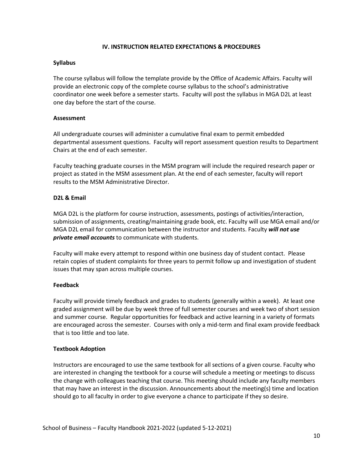#### **IV. INSTRUCTION RELATED EXPECTATIONS & PROCEDURES**

#### **Syllabus**

The course syllabus will follow the template provide by the Office of Academic Affairs. Faculty will provide an electronic copy of the complete course syllabus to the school's administrative coordinator one week before a semester starts. Faculty will post the syllabus in MGA D2L at least one day before the start of the course.

## **Assessment**

All undergraduate courses will administer a cumulative final exam to permit embedded departmental assessment questions. Faculty will report assessment question results to Department Chairs at the end of each semester.

Faculty teaching graduate courses in the MSM program will include the required research paper or project as stated in the MSM assessment plan. At the end of each semester, faculty will report results to the MSM Administrative Director.

#### **D2L & Email**

MGA D2L is the platform for course instruction, assessments, postings of activities/interaction, submission of assignments, creating/maintaining grade book, etc. Faculty will use MGA email and/or MGA D2L email for communication between the instructor and students. Faculty *will not use private email accounts* to communicate with students.

Faculty will make every attempt to respond within one business day of student contact. Please retain copies of student complaints for three years to permit follow up and investigation of student issues that may span across multiple courses.

## **Feedback**

Faculty will provide timely feedback and grades to students (generally within a week). At least one graded assignment will be due by week three of full semester courses and week two of short session and summer course. Regular opportunities for feedback and active learning in a variety of formats are encouraged across the semester. Courses with only a mid-term and final exam provide feedback that is too little and too late.

## **Textbook Adoption**

Instructors are encouraged to use the same textbook for all sections of a given course. Faculty who are interested in changing the textbook for a course will schedule a meeting or meetings to discuss the change with colleagues teaching that course. This meeting should include any faculty members that may have an interest in the discussion. Announcements about the meeting(s) time and location should go to all faculty in order to give everyone a chance to participate if they so desire.